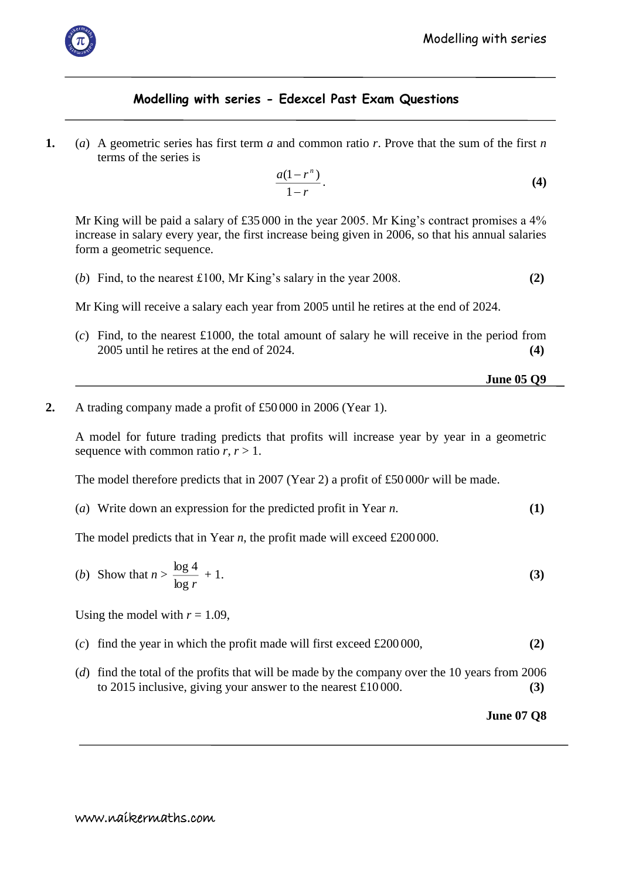

## **Modelling with series - Edexcel Past Exam Questions**

**1.** (*a*) A geometric series has first term *a* and common ratio *r*. Prove that the sum of the first *n* terms of the series is

$$
\frac{a(1-r^n)}{1-r}.\tag{4}
$$

Mr King will be paid a salary of £35 000 in the year 2005. Mr King's contract promises a 4% increase in salary every year, the first increase being given in 2006, so that his annual salaries form a geometric sequence.

(*b*) Find, to the nearest £100, Mr King's salary in the year 2008. **(2)**

Mr King will receive a salary each year from 2005 until he retires at the end of 2024.

(*c*) Find, to the nearest £1000, the total amount of salary he will receive in the period from 2005 until he retires at the end of 2024. **(4)**

```
 June 05 Q9
```
**2.** A trading company made a profit of £50 000 in 2006 (Year 1).

A model for future trading predicts that profits will increase year by year in a geometric sequence with common ratio  $r, r > 1$ .

The model therefore predicts that in 2007 (Year 2) a profit of £50 000*r* will be made.

(*a*) Write down an expression for the predicted profit in Year *n*. **(1)**

The model predicts that in Year *n*, the profit made will exceed £200000.

(b) Show that 
$$
n > \frac{\log 4}{\log r} + 1. \tag{3}
$$

Using the model with  $r = 1.09$ ,

- (*c*) find the year in which the profit made will first exceed £200 000, **(2)**
- (*d*) find the total of the profits that will be made by the company over the 10 years from 2006 to 2015 inclusive, giving your answer to the nearest £10 000. **(3)**

**June 07 Q8**